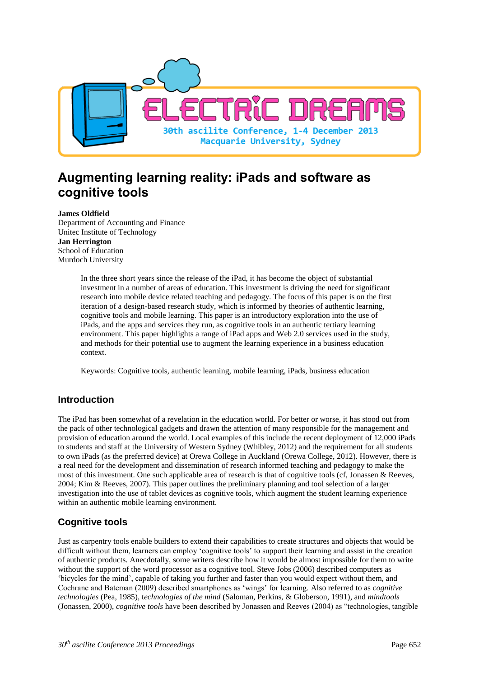

# **Augmenting learning reality: iPads and software as cognitive tools**

#### **James Oldfield**

Department of Accounting and Finance Unitec Institute of Technology **Jan Herrington** School of Education Murdoch University

> In the three short years since the release of the iPad, it has become the object of substantial investment in a number of areas of education. This investment is driving the need for significant research into mobile device related teaching and pedagogy. The focus of this paper is on the first iteration of a design-based research study, which is informed by theories of authentic learning, cognitive tools and mobile learning. This paper is an introductory exploration into the use of iPads, and the apps and services they run, as cognitive tools in an authentic tertiary learning environment. This paper highlights a range of iPad apps and Web 2.0 services used in the study, and methods for their potential use to augment the learning experience in a business education context.

Keywords: Cognitive tools, authentic learning, mobile learning, iPads, business education

#### **Introduction**

The iPad has been somewhat of a revelation in the education world. For better or worse, it has stood out from the pack of other technological gadgets and drawn the attention of many responsible for the management and provision of education around the world. Local examples of this include the recent deployment of 12,000 iPads to students and staff at the University of Western Sydney (Whibley, 2012) and the requirement for all students to own iPads (as the preferred device) at Orewa College in Auckland (Orewa College, 2012). However, there is a real need for the development and dissemination of research informed teaching and pedagogy to make the most of this investment. One such applicable area of research is that of cognitive tools (cf, Jonassen & Reeves, 2004; Kim & Reeves, 2007). This paper outlines the preliminary planning and tool selection of a larger investigation into the use of tablet devices as cognitive tools, which augment the student learning experience within an authentic mobile learning environment.

## **Cognitive tools**

Just as carpentry tools enable builders to extend their capabilities to create structures and objects that would be difficult without them, learners can employ 'cognitive tools' to support their learning and assist in the creation of authentic products. Anecdotally, some writers describe how it would be almost impossible for them to write without the support of the word processor as a cognitive tool. Steve Jobs (2006) described computers as 'bicycles for the mind', capable of taking you further and faster than you would expect without them, and Cochrane and Bateman (2009) described smartphones as 'wings' for learning. Also referred to as *cognitive technologies* (Pea, 1985), t*echnologies of the mind* (Saloman, Perkins, & Globerson, 1991), and *mindtools* (Jonassen, 2000), *cognitive tools* have been described by Jonassen and Reeves (2004) as "technologies, tangible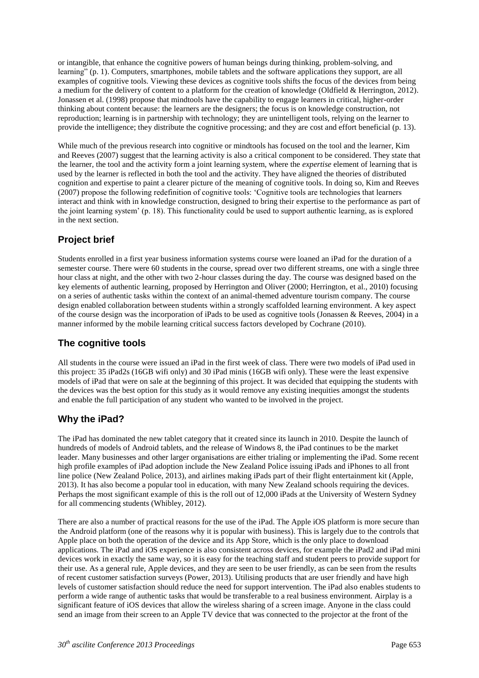or intangible, that enhance the cognitive powers of human beings during thinking, problem-solving, and learning" (p. 1). Computers, smartphones, mobile tablets and the software applications they support, are all examples of cognitive tools. Viewing these devices as cognitive tools shifts the focus of the devices from being a medium for the delivery of content to a platform for the creation of knowledge (Oldfield & Herrington, 2012). Jonassen et al. (1998) propose that mindtools have the capability to engage learners in critical, higher-order thinking about content because: the learners are the designers; the focus is on knowledge construction, not reproduction; learning is in partnership with technology; they are unintelligent tools, relying on the learner to provide the intelligence; they distribute the cognitive processing; and they are cost and effort beneficial (p. 13).

While much of the previous research into cognitive or mindtools has focused on the tool and the learner, Kim and Reeves (2007) suggest that the learning activity is also a critical component to be considered. They state that the learner, the tool and the activity form a joint learning system, where the *expertise* element of learning that is used by the learner is reflected in both the tool and the activity. They have aligned the theories of distributed cognition and expertise to paint a clearer picture of the meaning of cognitive tools. In doing so, Kim and Reeves (2007) propose the following redefinition of cognitive tools: 'Cognitive tools are technologies that learners interact and think with in knowledge construction, designed to bring their expertise to the performance as part of the joint learning system' (p. 18). This functionality could be used to support authentic learning, as is explored in the next section.

## **Project brief**

Students enrolled in a first year business information systems course were loaned an iPad for the duration of a semester course. There were 60 students in the course, spread over two different streams, one with a single three hour class at night, and the other with two 2-hour classes during the day. The course was designed based on the key elements of authentic learning, proposed by Herrington and Oliver (2000; Herrington, et al., 2010) focusing on a series of authentic tasks within the context of an animal-themed adventure tourism company. The course design enabled collaboration between students within a strongly scaffolded learning environment. A key aspect of the course design was the incorporation of iPads to be used as cognitive tools (Jonassen & Reeves, 2004) in a manner informed by the mobile learning critical success factors developed by Cochrane (2010).

## **The cognitive tools**

All students in the course were issued an iPad in the first week of class. There were two models of iPad used in this project: 35 iPad2s (16GB wifi only) and 30 iPad minis (16GB wifi only). These were the least expensive models of iPad that were on sale at the beginning of this project. It was decided that equipping the students with the devices was the best option for this study as it would remove any existing inequities amongst the students and enable the full participation of any student who wanted to be involved in the project.

## **Why the iPad?**

The iPad has dominated the new tablet category that it created since its launch in 2010. Despite the launch of hundreds of models of Android tablets, and the release of Windows 8, the iPad continues to be the market leader. Many businesses and other larger organisations are either trialing or implementing the iPad. Some recent high profile examples of iPad adoption include the New Zealand Police issuing iPads and iPhones to all front line police (New Zealand Police, 2013), and airlines making iPads part of their flight entertainment kit (Apple, 2013). It has also become a popular tool in education, with many New Zealand schools requiring the devices. Perhaps the most significant example of this is the roll out of 12,000 iPads at the University of Western Sydney for all commencing students (Whibley, 2012).

There are also a number of practical reasons for the use of the iPad. The Apple iOS platform is more secure than the Android platform (one of the reasons why it is popular with business). This is largely due to the controls that Apple place on both the operation of the device and its App Store, which is the only place to download applications. The iPad and iOS experience is also consistent across devices, for example the iPad2 and iPad mini devices work in exactly the same way, so it is easy for the teaching staff and student peers to provide support for their use. As a general rule, Apple devices, and they are seen to be user friendly, as can be seen from the results of recent customer satisfaction surveys (Power, 2013). Utilising products that are user friendly and have high levels of customer satisfaction should reduce the need for support intervention. The iPad also enables students to perform a wide range of authentic tasks that would be transferable to a real business environment. Airplay is a significant feature of iOS devices that allow the wireless sharing of a screen image. Anyone in the class could send an image from their screen to an Apple TV device that was connected to the projector at the front of the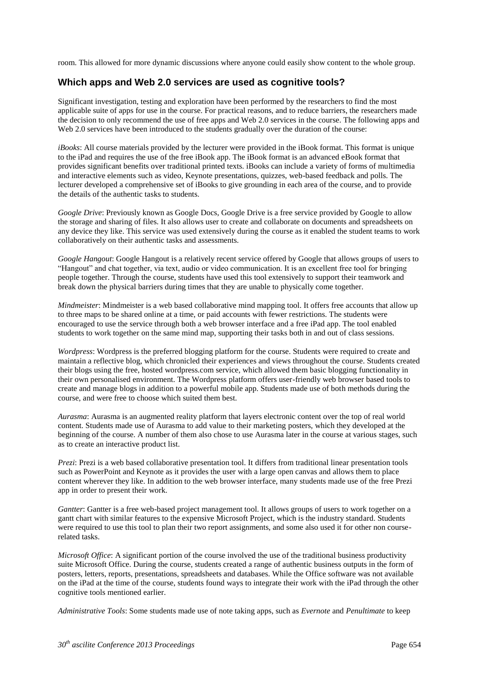room. This allowed for more dynamic discussions where anyone could easily show content to the whole group.

#### **Which apps and Web 2.0 services are used as cognitive tools?**

Significant investigation, testing and exploration have been performed by the researchers to find the most applicable suite of apps for use in the course. For practical reasons, and to reduce barriers, the researchers made the decision to only recommend the use of free apps and Web 2.0 services in the course. The following apps and Web 2.0 services have been introduced to the students gradually over the duration of the course:

*iBooks*: All course materials provided by the lecturer were provided in the iBook format. This format is unique to the iPad and requires the use of the free iBook app. The iBook format is an advanced eBook format that provides significant benefits over traditional printed texts. iBooks can include a variety of forms of multimedia and interactive elements such as video, Keynote presentations, quizzes, web-based feedback and polls. The lecturer developed a comprehensive set of iBooks to give grounding in each area of the course, and to provide the details of the authentic tasks to students.

*Google Drive*: Previously known as Google Docs, Google Drive is a free service provided by Google to allow the storage and sharing of files. It also allows user to create and collaborate on documents and spreadsheets on any device they like. This service was used extensively during the course as it enabled the student teams to work collaboratively on their authentic tasks and assessments.

*Google Hangout*: Google Hangout is a relatively recent service offered by Google that allows groups of users to "Hangout" and chat together, via text, audio or video communication. It is an excellent free tool for bringing people together. Through the course, students have used this tool extensively to support their teamwork and break down the physical barriers during times that they are unable to physically come together.

*Mindmeister*: Mindmeister is a web based collaborative mind mapping tool. It offers free accounts that allow up to three maps to be shared online at a time, or paid accounts with fewer restrictions. The students were encouraged to use the service through both a web browser interface and a free iPad app. The tool enabled students to work together on the same mind map, supporting their tasks both in and out of class sessions.

*Wordpress*: Wordpress is the preferred blogging platform for the course. Students were required to create and maintain a reflective blog, which chronicled their experiences and views throughout the course. Students created their blogs using the free, hosted wordpress.com service, which allowed them basic blogging functionality in their own personalised environment. The Wordpress platform offers user-friendly web browser based tools to create and manage blogs in addition to a powerful mobile app. Students made use of both methods during the course, and were free to choose which suited them best.

*Aurasma*: Aurasma is an augmented reality platform that layers electronic content over the top of real world content. Students made use of Aurasma to add value to their marketing posters, which they developed at the beginning of the course. A number of them also chose to use Aurasma later in the course at various stages, such as to create an interactive product list.

*Prezi*: Prezi is a web based collaborative presentation tool. It differs from traditional linear presentation tools such as PowerPoint and Keynote as it provides the user with a large open canvas and allows them to place content wherever they like. In addition to the web browser interface, many students made use of the free Prezi app in order to present their work.

*Gantter*: Gantter is a free web-based project management tool. It allows groups of users to work together on a gantt chart with similar features to the expensive Microsoft Project, which is the industry standard. Students were required to use this tool to plan their two report assignments, and some also used it for other non courserelated tasks.

*Microsoft Office*: A significant portion of the course involved the use of the traditional business productivity suite Microsoft Office. During the course, students created a range of authentic business outputs in the form of posters, letters, reports, presentations, spreadsheets and databases. While the Office software was not available on the iPad at the time of the course, students found ways to integrate their work with the iPad through the other cognitive tools mentioned earlier.

*Administrative Tools*: Some students made use of note taking apps, such as *Evernote* and *Penultimate* to keep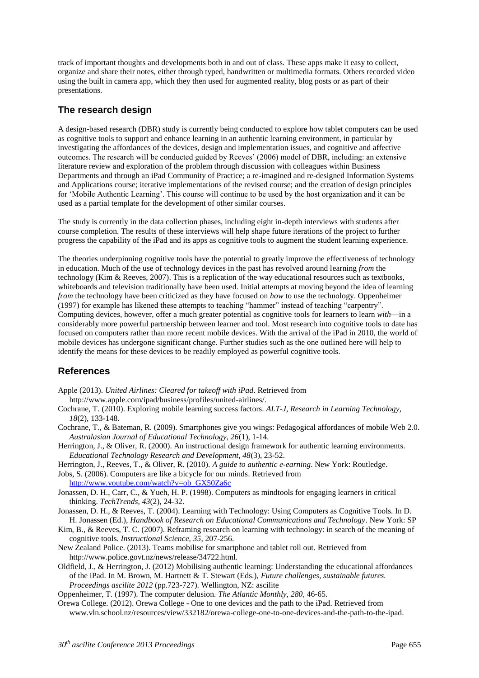track of important thoughts and developments both in and out of class. These apps make it easy to collect, organize and share their notes, either through typed, handwritten or multimedia formats. Others recorded video using the built in camera app, which they then used for augmented reality, blog posts or as part of their presentations.

### **The research design**

A design-based research (DBR) study is currently being conducted to explore how tablet computers can be used as cognitive tools to support and enhance learning in an authentic learning environment, in particular by investigating the affordances of the devices, design and implementation issues, and cognitive and affective outcomes. The research will be conducted guided by Reeves' (2006) model of DBR, including: an extensive literature review and exploration of the problem through discussion with colleagues within Business Departments and through an iPad Community of Practice; a re-imagined and re-designed Information Systems and Applications course; iterative implementations of the revised course; and the creation of design principles for 'Mobile Authentic Learning'. This course will continue to be used by the host organization and it can be used as a partial template for the development of other similar courses.

The study is currently in the data collection phases, including eight in-depth interviews with students after course completion. The results of these interviews will help shape future iterations of the project to further progress the capability of the iPad and its apps as cognitive tools to augment the student learning experience.

The theories underpinning cognitive tools have the potential to greatly improve the effectiveness of technology in education. Much of the use of technology devices in the past has revolved around learning *from* the technology (Kim & Reeves, 2007). This is a replication of the way educational resources such as textbooks, whiteboards and television traditionally have been used. Initial attempts at moving beyond the idea of learning *from* the technology have been criticized as they have focused on *how* to use the technology. Oppenheimer (1997) for example has likened these attempts to teaching "hammer" instead of teaching "carpentry". Computing devices, however, offer a much greater potential as cognitive tools for learners to learn *with*—in a considerably more powerful partnership between learner and tool. Most research into cognitive tools to date has focused on computers rather than more recent mobile devices. With the arrival of the iPad in 2010, the world of mobile devices has undergone significant change. Further studies such as the one outlined here will help to identify the means for these devices to be readily employed as powerful cognitive tools.

#### **References**

- Apple (2013). *United Airlines: Cleared for takeoff with iPad*. Retrieved from
- [http://www.apple.com/ipad/business/profiles/united-airlines/.](http://www.apple.com/ipad/business/profiles/united-airlines/)
- Cochrane, T. (2010). Exploring mobile learning success factors. *ALT-J, Research in Learning Technology, 18*(2), 133-148.
- Cochrane, T., & Bateman, R. (2009). Smartphones give you wings: Pedagogical affordances of mobile Web 2.0. *Australasian Journal of Educational Technology, 26*(1), 1-14.
- Herrington, J., & Oliver, R. (2000). An instructional design framework for authentic learning environments. *Educational Technology Research and Development, 48*(3), 23-52.
- Herrington, J., Reeves, T., & Oliver, R. (2010). *A guide to authentic e-earning*. New York: Routledge.
- Jobs, S. (2006). Computers are like a bicycle for our minds. Retrieved from [http://www.youtube.com/watch?v=ob\\_GX50Za6c](http://www.youtube.com/watch?v=ob_GX50Za6c)
- Jonassen, D. H., Carr, C., & Yueh, H. P. (1998). Computers as mindtools for engaging learners in critical thinking. *TechTrends, 43*(2), 24-32.
- Jonassen, D. H., & Reeves, T. (2004). Learning with Technology: Using Computers as Cognitive Tools. In D. H. Jonassen (Ed.), *Handbook of Research on Educational Communications and Technology*. New York: SP
- Kim, B., & Reeves, T. C. (2007). Reframing research on learning with technology: in search of the meaning of cognitive tools. *Instructional Science, 35*, 207-256.
- New Zealand Police. (2013). Teams mobilise for smartphone and tablet roll out. Retrieved from <http://www.police.govt.nz/news/release/34722.html.>
- Oldfield, J., & Herrington, J. (2012) Mobilising authentic learning: Understanding the educational affordances of the iPad. In M. Brown, M. Hartnett & T. Stewart (Eds.), *Future challenges, sustainable futures. Proceedings ascilite 2012* (pp.723-727). Wellington, NZ: ascilite

Oppenheimer, T. (1997). The computer delusion. *The Atlantic Monthly, 280*, 46-65.

Orewa College. (2012). Orewa College - One to one devices and the path to the iPad. Retrieved from [www.vln.school.nz/resources/view/332182/orewa-college-one-to-one-devices-and-the-path-to-the-ipad.](http://www.vln.school.nz/resources/view/332182/orewa-college-one-to-one-devices-and-the-path-to-the-ipad.)